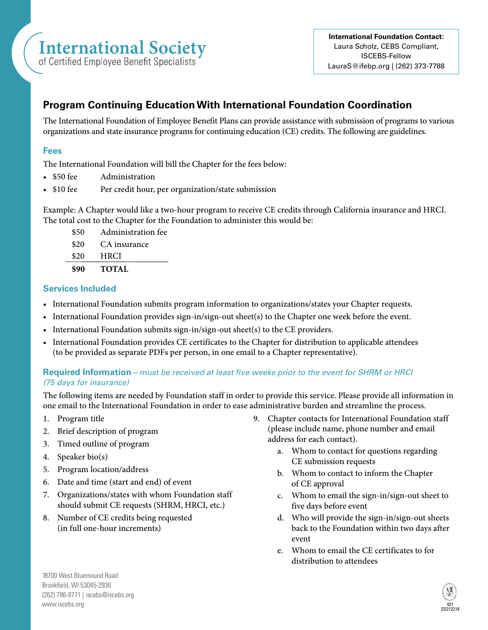# **International Society**

of Certified Employee Benefit Specialists

# **Program Continuing Education With International Foundation Coordination**

The International Foundation of Employee Benefit Plans can provide assistance with submission of programs to various organizations and state insurance programs for continuing education (CE) credits. The following are guidelines.

## **Fees**

The International Foundation will bill the Chapter for the fees below:

- \$50 fee Administration
- \$10 fee Per credit hour, per organization/state submission

Example: A Chapter would like a two-hour program to receive CE credits through California insurance and HRCI. The total cost to the Chapter for the Foundation to administer this would be:

\$50 Administration fee \$20 CA insurance \$20 HRCI **\$90 TOTAL**

### **Services Included**

- International Foundation submits program information to organizations/states your Chapter requests.
- International Foundation provides sign-in/sign-out sheet(s) to the Chapter one week before the event.
- International Foundation submits sign-in/sign-out sheet(s) to the CE providers.
- International Foundation provides CE certificates to the Chapter for distribution to applicable attendees (to be provided as separate PDFs per person, in one email to a Chapter representative).

### **Required Information**—*must be received at least five weeks prior to the event for SHRM or HRCI (75 days for insurance)*

The following items are needed by Foundation staff in order to provide this service. Please provide all information in one email to the International Foundation in order to ease administrative burden and streamline the process.

- 1. Program title
- 2. Brief description of program
- 3. Timed outline of program
- 4. Speaker bio(s)
- 5. Program location/address
- 6. Date and time (start and end) of event
- 7. Organizations/states with whom Foundation staff should submit CE requests (SHRM, HRCI, etc.)
- 8. Number of CE credits being requested (in full one-hour increments)
- 9. Chapter contacts for International Foundation staff (please include name, phone number and email address for each contact).
	- a. Whom to contact for questions regarding CE submission requests
	- b. Whom to contact to inform the Chapter of CE approval
	- c. Whom to email the sign-in/sign-out sheet to five days before event
	- d. Who will provide the sign-in/sign-out sheets back to the Foundation within two days after event
	- e. Whom to email the CE certificates to for distribution to attendees

18700 West Bluemound Road Brookfield, WI 53045-2936 (262) 786-8771 | iscebs@iscebs.org www.iscebs.org <sup>421</sup> SO212218

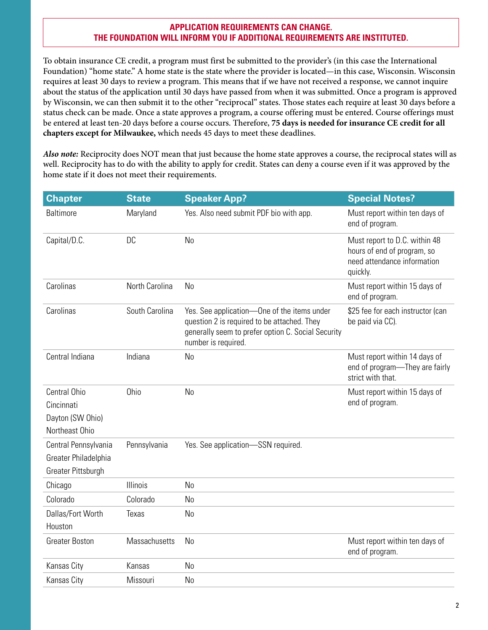#### **APPLICATION REQUIREMENTS CAN CHANGE. THE FOUNDATION WILL INFORM YOU IF ADDITIONAL REQUIREMENTS ARE INSTITUTED.**

To obtain insurance CE credit, a program must first be submitted to the provider's (in this case the International Foundation) "home state." A home state is the state where the provider is located—in this case, Wisconsin. Wisconsin requires at least 30 days to review a program. This means that if we have not received a response, we cannot inquire about the status of the application until 30 days have passed from when it was submitted. Once a program is approved by Wisconsin, we can then submit it to the other "reciprocal" states. Those states each require at least 30 days before a status check can be made. Once a state approves a program, a course offering must be entered. Course offerings must be entered at least ten-20 days before a course occurs. Therefore, **75 days is needed for insurance CE credit for all chapters except for Milwaukee,** which needs 45 days to meet these deadlines.

*Also note:* Reciprocity does NOT mean that just because the home state approves a course, the reciprocal states will as well. Reciprocity has to do with the ability to apply for credit. States can deny a course even if it was approved by the home state if it does not meet their requirements.

| <b>Chapter</b>                                                     | <b>State</b>   | <b>Speaker App?</b>                                                                                                                                                     | <b>Special Notes?</b>                                                                                   |
|--------------------------------------------------------------------|----------------|-------------------------------------------------------------------------------------------------------------------------------------------------------------------------|---------------------------------------------------------------------------------------------------------|
| Baltimore                                                          | Maryland       | Yes. Also need submit PDF bio with app.                                                                                                                                 | Must report within ten days of<br>end of program.                                                       |
| Capital/D.C.                                                       | <b>DC</b>      | <b>No</b>                                                                                                                                                               | Must report to D.C. within 48<br>hours of end of program, so<br>need attendance information<br>quickly. |
| Carolinas                                                          | North Carolina | No                                                                                                                                                                      | Must report within 15 days of<br>end of program.                                                        |
| Carolinas                                                          | South Carolina | Yes. See application—One of the items under<br>question 2 is required to be attached. They<br>generally seem to prefer option C. Social Security<br>number is required. | \$25 fee for each instructor (can<br>be paid via CC).                                                   |
| Central Indiana                                                    | Indiana        | No                                                                                                                                                                      | Must report within 14 days of<br>end of program-They are fairly<br>strict with that.                    |
| Central Ohio<br>Cincinnati<br>Dayton (SW Ohio)<br>Northeast Ohio   | Ohio           | N <sub>0</sub>                                                                                                                                                          | Must report within 15 days of<br>end of program.                                                        |
| Central Pennsylvania<br>Greater Philadelphia<br>Greater Pittsburgh | Pennsylvania   | Yes. See application-SSN required.                                                                                                                                      |                                                                                                         |
| Chicago                                                            | Illinois       | No                                                                                                                                                                      |                                                                                                         |
| Colorado                                                           | Colorado       | No                                                                                                                                                                      |                                                                                                         |
| Dallas/Fort Worth                                                  | <b>Texas</b>   | No                                                                                                                                                                      |                                                                                                         |
| Houston                                                            |                |                                                                                                                                                                         |                                                                                                         |
| <b>Greater Boston</b>                                              | Massachusetts  | <b>No</b>                                                                                                                                                               | Must report within ten days of<br>end of program.                                                       |
| Kansas City                                                        | Kansas         | <b>No</b>                                                                                                                                                               |                                                                                                         |
| Kansas City                                                        | Missouri       | <b>No</b>                                                                                                                                                               |                                                                                                         |